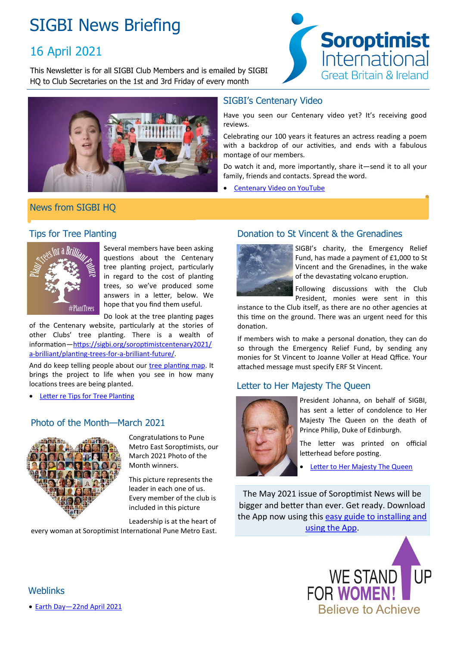## SIGBI News Briefing

## 16 April 2021

This Newsletter is for all SIGBI Club Members and is emailed by SIGBI HQ to Club Secretaries on the 1st and 3rd Friday of every month



# **Soroptimist** International **Great Britain & Ireland**

#### SIGBI's Centenary Video

Have you seen our Centenary video yet? It's receiving good reviews.

Celebrating our 100 years it features an actress reading a poem with a backdrop of our activities, and ends with a fabulous montage of our members.

Do watch it and, more importantly, share it—send it to all your family, friends and contacts. Spread the word.

[Centenary Video on YouTube](https://www.youtube.com/watch?v=ynSJwQQcT5E)

### News from SIGBI HQ

#### Tips for Tree Planting



Several members have been asking questions about the Centenary tree planting project, particularly in regard to the cost of planting trees, so we've produced some answers in a letter, below. We hope that you find them useful.

Do look at the tree planting pages

of the Centenary website, particularly at the stories of other Clubs' tree planting. There is a wealth of information[—https://sigbi.org/soroptimistcentenary2021/](https://sigbi.org/soroptimistcentenary2021/a-brilliant/planting-trees-for-a-brilliant-future/) a-[brilliant/planting](https://sigbi.org/soroptimistcentenary2021/a-brilliant/planting-trees-for-a-brilliant-future/)-trees-for-a-brilliant-future/.

And do keep telling people about our [tree planting map.](https://www.google.com/maps/d/edit?mid=1pw7ACWpF6ToPgYlCJMcb2i5B-Y8kBAAh&ll=19.063905963764277%2C0&z=2) It brings the project to life when you see in how many locations trees are being planted.

[Letter re Tips for Tree Planting](https://sigbi.org/members/files/Tree-Planting-Information.pdf)

## Photo of the Month—March 2021



Congratulations to Pune Metro East Soroptimists, our March 2021 Photo of the Month winners.

This picture represents the leader in each one of us. Every member of the club is included in this picture

Leadership is at the heart of

every woman at Soroptimist International Pune Metro East.

### Donation to St Vincent & the Grenadines



SIGBI's charity, the Emergency Relief Fund, has made a payment of £1,000 to St Vincent and the Grenadines, in the wake of the devastating volcano eruption.

Following discussions with the Club President, monies were sent in this

instance to the Club itself, as there are no other agencies at this time on the ground. There was an urgent need for this donation.

If members wish to make a personal donation, they can do so through the Emergency Relief Fund, by sending any monies for St Vincent to Joanne Voller at Head Qffice. Your attached message must specify ERF St Vincent.

## Letter to Her Majesty The Queen



President Johanna, on behalf of SIGBI, has sent a letter of condolence to Her Majesty The Queen on the death of Prince Philip, Duke of Edinburgh.

The letter was printed on official letterhead before posting.

[Letter to Her Majesty The Queen](https://sigbi.org/members/files/Letter-of-Condolence-to-Her-Majesty-the-Queen.pdf)

The May 2021 issue of Soroptimist News will be bigger and better than ever. Get ready. Download the App now using this easy guide to installing and [using the App.](https://sigbi.org/assets/An-easy-guide-to-installing-and-using-the-Soroptimist-News-App.pdf)



**Weblinks** 

[Earth Day—22nd April 2021](https://sigbi.org/2021/earth-day-2021/)